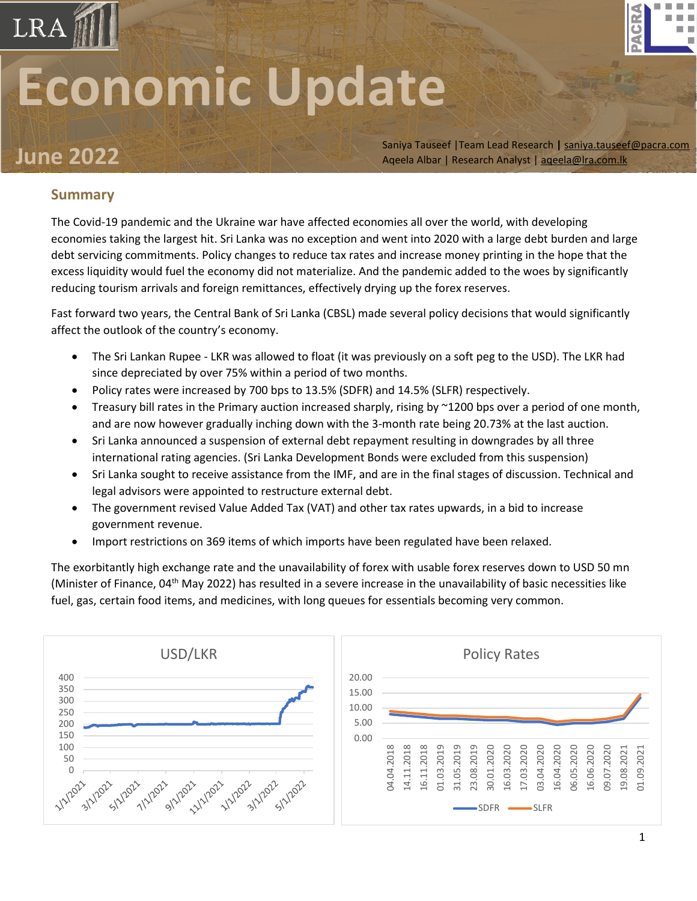# **Economic Update**

**June** 2022 Saniya Tauseef |Team Lead Research | <u>[saniya.tauseef@pacra.com](mailto:saniya.tauseef@pacra.com)</u><br>Aqeela Albar | Research Analyst | <u>aqeela@lra.com.lk</u> Aqeela Albar | Research Analyst [| aqeela@lra.com.lk](mailto:aqeela@lra.com.lk)

GR

### **Summary**

LRA

The Covid-19 pandemic and the Ukraine war have affected economies all over the world, with developing economies taking the largest hit. Sri Lanka was no exception and went into 2020 with a large debt burden and large debt servicing commitments. Policy changes to reduce tax rates and increase money printing in the hope that the excess liquidity would fuel the economy did not materialize. And the pandemic added to the woes by significantly reducing tourism arrivals and foreign remittances, effectively drying up the forex reserves.

Fast forward two years, the Central Bank of Sri Lanka (CBSL) made several policy decisions that would significantly affect the outlook of the country's economy.

- The Sri Lankan Rupee LKR was allowed to float (it was previously on a soft peg to the USD). The LKR had since depreciated by over 75% within a period of two months.
- Policy rates were increased by 700 bps to 13.5% (SDFR) and 14.5% (SLFR) respectively.
- Treasury bill rates in the Primary auction increased sharply, rising by ~1200 bps over a period of one month, and are now however gradually inching down with the 3-month rate being 20.73% at the last auction.
- Sri Lanka announced a suspension of external debt repayment resulting in downgrades by all three international rating agencies. (Sri Lanka Development Bonds were excluded from this suspension)
- Sri Lanka sought to receive assistance from the IMF, and are in the final stages of discussion. Technical and legal advisors were appointed to restructure external debt.
- The government revised Value Added Tax (VAT) and other tax rates upwards, in a bid to increase government revenue.
- Import restrictions on 369 items of which imports have been regulated have been relaxed.

The exorbitantly high exchange rate and the unavailability of forex with usable forex reserves down to USD 50 mn (Minister of Finance, 04<sup>th</sup> May 2022) has resulted in a severe increase in the unavailability of basic necessities like fuel, gas, certain food items, and medicines, with long queues for essentials becoming very common.

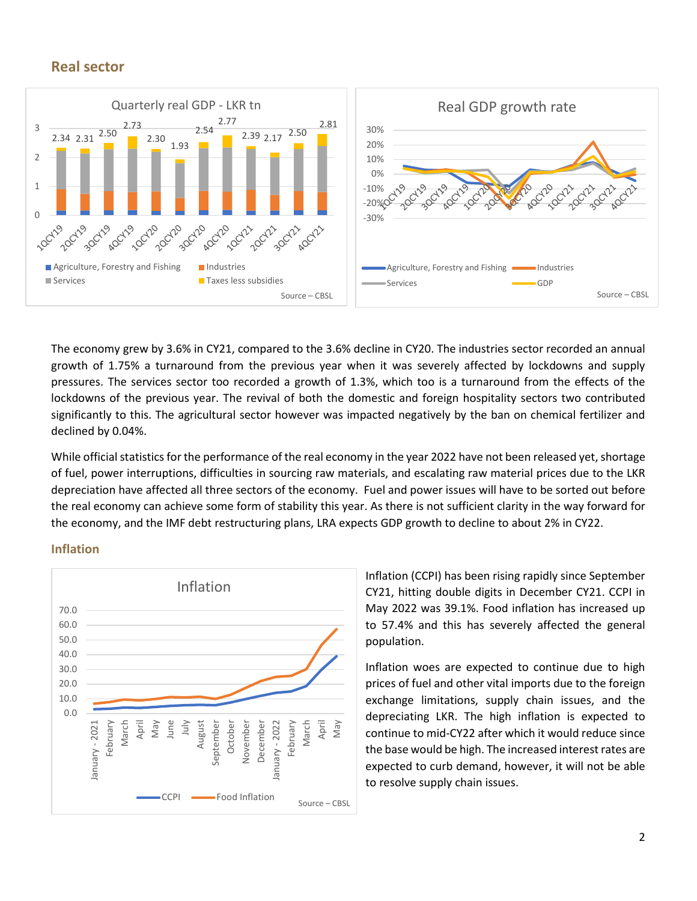#### **Real sector**



The economy grew by 3.6% in CY21, compared to the 3.6% decline in CY20. The industries sector recorded an annual growth of 1.75% a turnaround from the previous year when it was severely affected by lockdowns and supply pressures. The services sector too recorded a growth of 1.3%, which too is a turnaround from the effects of the lockdowns of the previous year. The revival of both the domestic and foreign hospitality sectors two contributed significantly to this. The agricultural sector however was impacted negatively by the ban on chemical fertilizer and declined by 0.04%.

While official statistics for the performance of the real economy in the year 2022 have not been released yet, shortage of fuel, power interruptions, difficulties in sourcing raw materials, and escalating raw material prices due to the LKR depreciation have affected all three sectors of the economy. Fuel and power issues will have to be sorted out before the real economy can achieve some form of stability this year. As there is not sufficient clarity in the way forward for the economy, and the IMF debt restructuring plans, LRA expects GDP growth to decline to about 2% in CY22.

#### **Inflation**



Inflation (CCPI) has been rising rapidly since September CY21, hitting double digits in December CY21. CCPI in May 2022 was 39.1%. Food inflation has increased up to 57.4% and this has severely affected the general population.

Inflation woes are expected to continue due to high prices of fuel and other vital imports due to the foreign exchange limitations, supply chain issues, and the depreciating LKR. The high inflation is expected to continue to mid-CY22 after which it would reduce since the base would be high. The increased interest rates are expected to curb demand, however, it will not be able to resolve supply chain issues.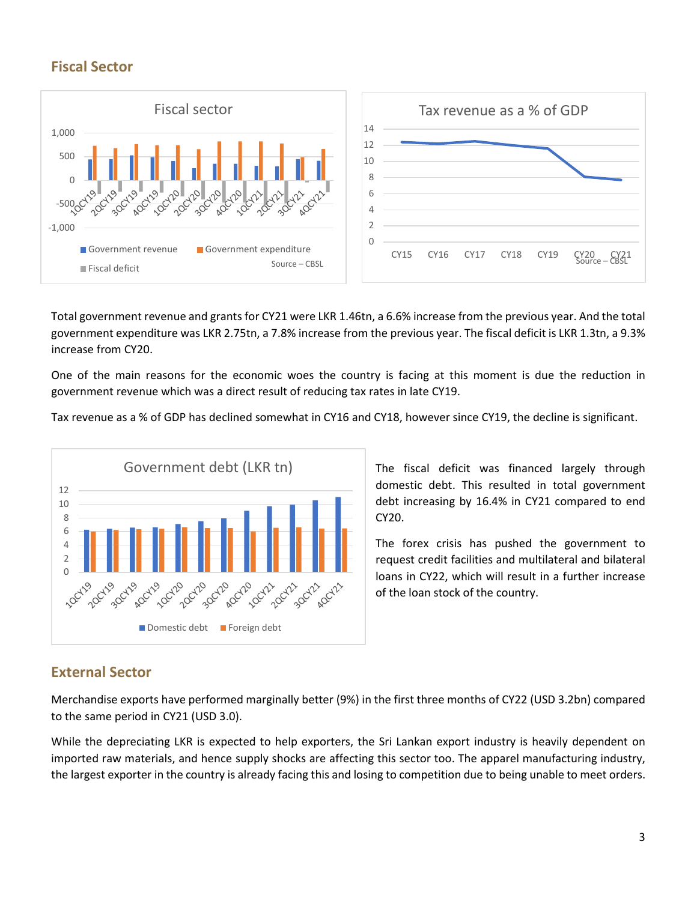# **Fiscal Sector**



Total government revenue and grants for CY21 were LKR 1.46tn, a 6.6% increase from the previous year. And the total government expenditure was LKR 2.75tn, a 7.8% increase from the previous year. The fiscal deficit is LKR 1.3tn, a 9.3% increase from CY20.

One of the main reasons for the economic woes the country is facing at this moment is due the reduction in government revenue which was a direct result of reducing tax rates in late CY19.

Tax revenue as a % of GDP has declined somewhat in CY16 and CY18, however since CY19, the decline is significant.



The fiscal deficit was financed largely through domestic debt. This resulted in total government debt increasing by 16.4% in CY21 compared to end CY20.

The forex crisis has pushed the government to request credit facilities and multilateral and bilateral loans in CY22, which will result in a further increase of the loan stock of the country.

## **External Sector**

Merchandise exports have performed marginally better (9%) in the first three months of CY22 (USD 3.2bn) compared to the same period in CY21 (USD 3.0).

While the depreciating LKR is expected to help exporters, the Sri Lankan export industry is heavily dependent on imported raw materials, and hence supply shocks are affecting this sector too. The apparel manufacturing industry, the largest exporter in the country is already facing this and losing to competition due to being unable to meet orders.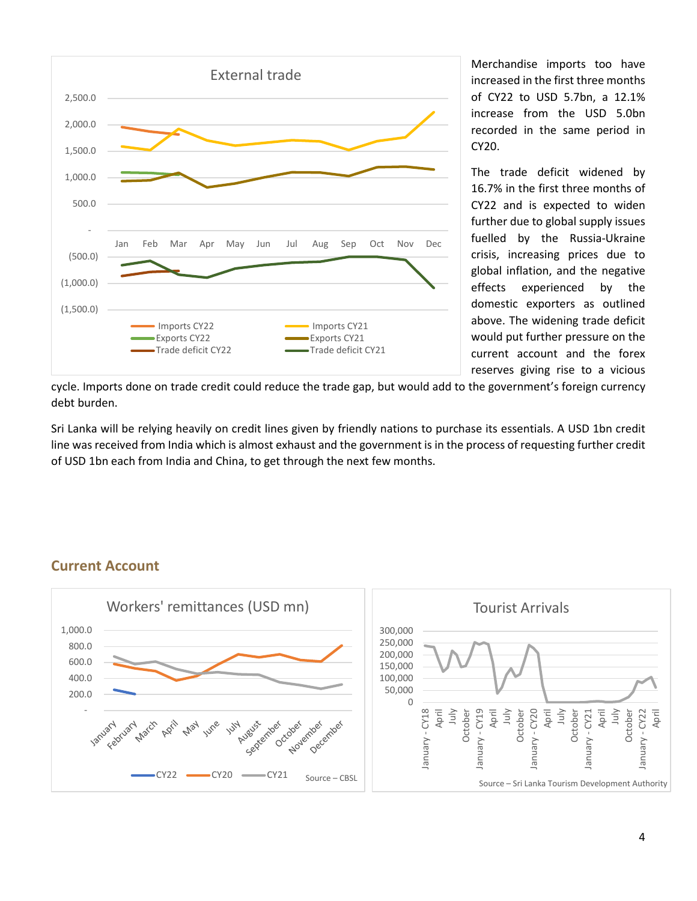

Merchandise imports too have increased in the first three months of CY22 to USD 5.7bn, a 12.1% increase from the USD 5.0bn recorded in the same period in CY20.

The trade deficit widened by 16.7% in the first three months of CY22 and is expected to widen further due to global supply issues fuelled by the Russia-Ukraine crisis, increasing prices due to global inflation, and the negative effects experienced by the domestic exporters as outlined above. The widening trade deficit would put further pressure on the current account and the forex reserves giving rise to a vicious

cycle. Imports done on trade credit could reduce the trade gap, but would add to the government's foreign currency debt burden.

Sri Lanka will be relying heavily on credit lines given by friendly nations to purchase its essentials. A USD 1bn credit line was received from India which is almost exhaust and the government is in the process of requesting further credit of USD 1bn each from India and China, to get through the next few months.

#### **Current Account**